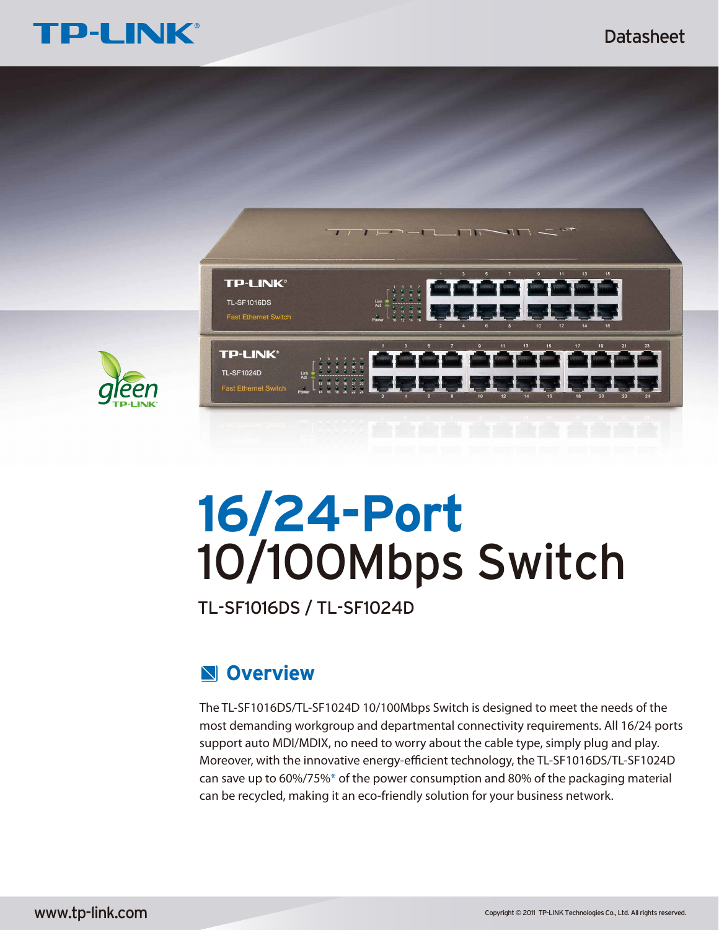### Datasheet





# **16/24-Port** 10/100Mbps Switch

TL-SF1016DS / TL-SF1024D

## **Overview**

The TL-SF1016DS/TL-SF1024D 10/100Mbps Switch is designed to meet the needs of the most demanding workgroup and departmental connectivity requirements. All 16/24 ports support auto MDI/MDIX, no need to worry about the cable type, simply plug and play. Moreover, with the innovative energy-efficient technology, the TL-SF1016DS/TL-SF1024D can save up to 60%/75%\* of the power consumption and 80% of the packaging material can be recycled, making it an eco-friendly solution for your business network.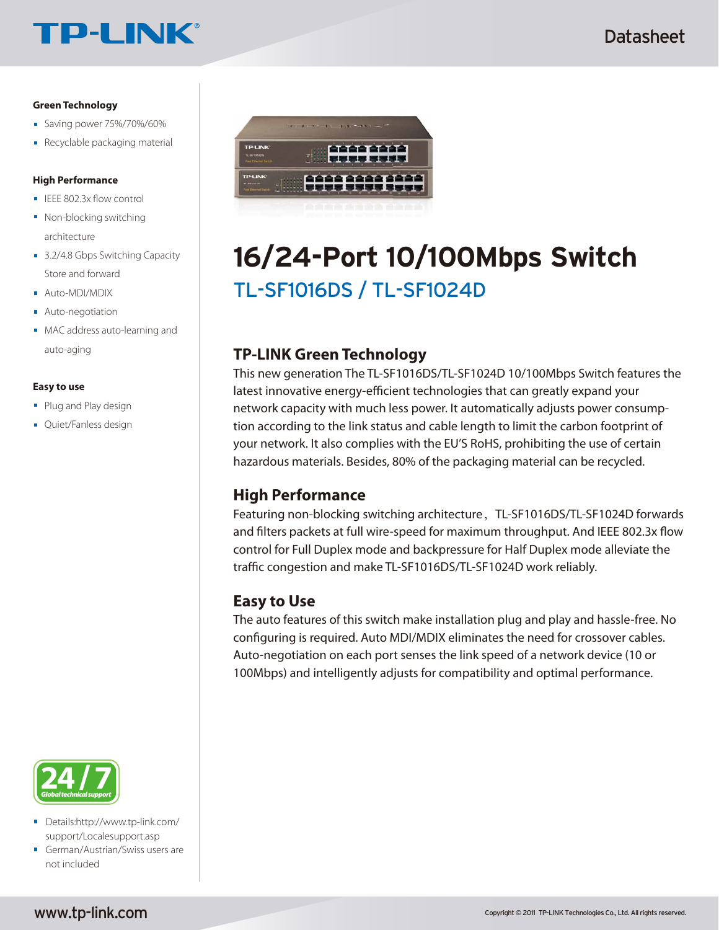# **TP-LINK®**

#### **Green Technology**

- Saving power 75%/70%/60%
- Recyclable packaging material

#### **High Performance**

- $\blacksquare$  IEEE 802.3x flow control
- Non-blocking switching architecture
- 3.2/4.8 Gbps Switching Capacity Store and forward
- **Auto-MDI/MDIX**
- **Auto-negotiation**
- **MAC** address auto-learning and auto-aging

#### **Easy to use**

- **Plug and Play design**
- **Quiet/Fanless design**



- Details:http://www.tp-link.com/ support/Localesupport.asp
- German/Austrian/Swiss users are not included



# TL-SF1016DS / TL-SF1024D **16/24-Port 10/100Mbps Switch**

### **TP-LINK Green Technology**

This new generation The TL-SF1016DS/TL-SF1024D 10/100Mbps Switch features the latest innovative energy-efficient technologies that can greatly expand your network capacity with much less power. It automatically adjusts power consumption according to the link status and cable length to limit the carbon footprint of your network. It also complies with the EU'S RoHS, prohibiting the use of certain hazardous materials. Besides, 80% of the packaging material can be recycled.

#### **High Performance**

Featuring non-blocking switching architecture, TL-SF1016DS/TL-SF1024D forwards and filters packets at full wire-speed for maximum throughput. And IEEE 802.3x flow control for Full Duplex mode and backpressure for Half Duplex mode alleviate the traffic congestion and make TL-SF1016DS/TL-SF1024D work reliably.

#### **Easy to Use**

The auto features of this switch make installation plug and play and hassle-free. No configuring is required. Auto MDI/MDIX eliminates the need for crossover cables. Auto-negotiation on each port senses the link speed of a network device (10 or 100Mbps) and intelligently adjusts for compatibility and optimal performance.